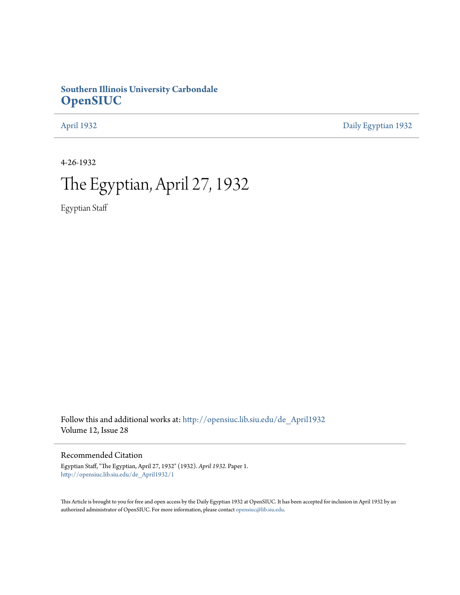# **Southern Illinois University Carbondale [OpenSIUC](http://opensiuc.lib.siu.edu?utm_source=opensiuc.lib.siu.edu%2Fde_April1932%2F1&utm_medium=PDF&utm_campaign=PDFCoverPages)**

[April 1932](http://opensiuc.lib.siu.edu/de_April1932?utm_source=opensiuc.lib.siu.edu%2Fde_April1932%2F1&utm_medium=PDF&utm_campaign=PDFCoverPages) [Daily Egyptian 1932](http://opensiuc.lib.siu.edu/de_1932?utm_source=opensiuc.lib.siu.edu%2Fde_April1932%2F1&utm_medium=PDF&utm_campaign=PDFCoverPages)

4-26-1932

# The Egyptian, April 27, 1932

Egyptian Staff

Follow this and additional works at: [http://opensiuc.lib.siu.edu/de\\_April1932](http://opensiuc.lib.siu.edu/de_April1932?utm_source=opensiuc.lib.siu.edu%2Fde_April1932%2F1&utm_medium=PDF&utm_campaign=PDFCoverPages) Volume 12, Issue 28

Recommended Citation

Egyptian Staff, "The Egyptian, April 27, 1932" (1932). *April 1932.* Paper 1. [http://opensiuc.lib.siu.edu/de\\_April1932/1](http://opensiuc.lib.siu.edu/de_April1932/1?utm_source=opensiuc.lib.siu.edu%2Fde_April1932%2F1&utm_medium=PDF&utm_campaign=PDFCoverPages)

This Article is brought to you for free and open access by the Daily Egyptian 1932 at OpenSIUC. It has been accepted for inclusion in April 1932 by an authorized administrator of OpenSIUC. For more information, please contact [opensiuc@lib.siu.edu](mailto:opensiuc@lib.siu.edu).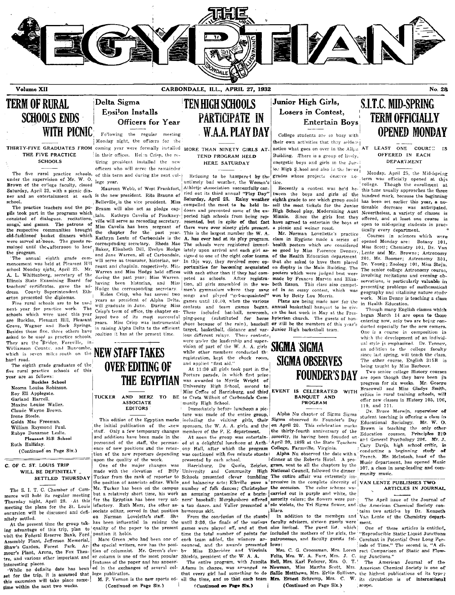

Volume XII

CARBONDALE, ILL., APRIL 27, 1932

## No. 28

# **TERM OF RURAL SCHOOLS ENDS WITH PICNIC**

## THE FIVE PRACTICE SCHOOLS

under the supervision of Mr. W. O. Brown of the college faculty, closed Saturday, April 23, with a picnic dinner and an entertainment at each school.

The practice teachers and the pupils took part in the programs which consisted of dialogues. recitations. songs, and games. The patrons of the respective communities brought old-fashioned basket dinners which were served at noon. The guests remained until the afternoon to hear the program.

The annual eighth grade commencement was held at Pleasant Hill school Monday night, April 25. Mr. A. L. Whittenberg, secretary of the Illinois State Examining Board for teachers' certificates, gave the  $ad -$ County Superintendent Ethdress. erton presented the diplomas.

Five rural schools are to be used next year for practice work. The schools which were used this year are Buckles, Pleasant Hill, Pleasant Grove, Wagner and Rock Springs. Besides these five, three others have asked to be used as practice schools. They are the Bridge, Foreville, in Williamson County, and Buncombe, which is seven miles south on the hard road.

The eighth grade graduates of the five rural practice schools of this year are as follows

**Buckles** School Neome Louise Robinson. Roy Ell Applegate. Garland Harrell. Maxine Louise Waller. Claude Wayne Brown. Irene Steele Golda Mae Freeman. William Raymond Paul. Rubve Donamae Leslie. Pleasant Hill School Ruth Halliday.

(Continued on Page Six.)

### C. OF C. ST. LOUIS TRIP WILL BE DEFINITELY SETTLED THURSDAY

The S. I. T. C. Chamber of Com merce will hold its regular meeting Thursday night, April 28. At this meeting the plans for the St. Louis excursion will be discussed and defi- sociate editor, served in that position nitely settled.

At the present time the group taking advantage of this trip, plan to quality of the paper to the present visit the Federal Reserve Bank, Ford position it holds. Assembly Plant, Jefferson Memorial, Shaw's Garden, Forest Park, Armour's Plant, Arena, the Fox Theatre, and various other important and interesting places.

set for the trip, it is assumed that lege publication. this excursion will take place sometime within the next two weeks.

## Delta Sigma Ensilon Installs Officers for Year

Following the regular meeting Monday night, the officers for the

in their offices. Helm Crisp, the retiring president installed the new officers who will serve the remainder The five rural practice schools, of this term and during the next college vear.

Maureen Webb, of West Frankfort, is the new president. Rita Braunn of Belleville is the vice president. Miss Braum will also act as pledge captain. Kathryn Cavelia of Pinckney- pected high schools from being repville will serve as recording secretary. Miss Cavelia has been sergeant of the chapter for the past year. Kathryn Lentz of Carbondale is the corresponding secretary. Rhoda Mae The schools were registered immed-Baker, Elisabeth Dill, Evelyn Hodge and Jane Warren, all of Carbondale, signed to one of the eight color teams. will serve as treasurer, historian, sergeant and chaplain, respectively. Mis-Warren and Miss Hodge held offices during the past year; Miss Warren. having been historian, and Miss Hodge the corresponding secretary

Helen Crisp, who has served two years as president of Alpha Delta, will graduate in June. During Miss Crisp's term of office, the chapter enjoyed two of its most successful Miss Crisp was instrumental Vesre in raising Alpha Delta to the efficient position it has at the present time.

**TEN HIGH SCHOOLS PARTICIPATE IN WAA PLAYDAY** 

THIRTY-FIVE GRADUATES FROM coming year were formally installed MORE THAN NINETY GIRLS AT. TEND PROGRAM HELD HERE SATURDAY

> Refusing to be hampered by the untimely bad weather, the Women's Athletic cAssociation succeedully car ried out its third annual "Play Day" Saturday, April 23. Rainy weather compelled the meet to be held indoors and prevented some of the exresented, but in spite of that fact there were over ninety girls present. This is the largest number the W 4 A. has ever had at its play program. iately upon arrival and each girl as In this way, they received more opportunities for becoming acquainted with each other than if they had competed as schools. After registration, all girls assembled in the women's gymnasium where they sang songs and played "get-acquainted" games until 10:49, when the various contests and team games began. These included bat-ball, newcomb. ping-pong (substituted for horse shoes because of the rain), baseball target, basketball, distance and various different relays. These contests,

were under the leadership and supervision of part of the W. A. A. girls while other members conducted the registration, kept the check room,<br>and applied "first aid."

At 11:30 all girls took part in the Posture parade, in which first prize was awarded to Myrtle Wright of University High School, second to Miss Coffee of Harrisburg, and third, EVENT IS CELEBRATED WITH

BE to Creta Wilhoit of Carbondale Community High School. Immediately before luncheon a pic-

ture was made of the entire group, including the visiting girls, their the initial publication of the -new sponsors, the W. A. A. girls. and the

members of the P. E. department. At noon the group was entertainony Hall, after which the program was continued with five minute stunts presented by each school.

Harrisburg, Du Quoin, Zeigler, made with the elevation of Billy University and Community High Tucker from the rank of reporter to Schools presented clever tumbling The entire affair was extremely imthe position of associate editor. While and balancing acts; Elkville gave a number of folk dances: Christopher the occasion. The color scheme way an amusing pantomine of a begin- carried out in purple and white, the ners' baseball; Murphysboro offered sorority colors; the flowers were pur-<br>a tap dates of the Journal of a tap dance, and Valier presented a ple violets, the Tri Sigma flower, and the American Chemical Society conhumorous skit.

From the conclusion of the stunts has been influential in raising the until 3:30, the finals of the various faculty advisers, sixteen guests were ment. games were played off, and at that also invited. The guest list, which time the total number of points for included the mothers of the girls, the each team added, the winners announced, and the awards presented lows: Miss Etheridge and Virginia by

The entire program, with Juanita that every girl had something to do Sallie Matthews, Mrs. Ervin Sullivan, the highest publications of its type; all the time, and so that each team Mrs. Ernest Schremp, Mrs. C.

(Continued on Page Six.)

## Junior High Girls. Losers in Contest. Entertain Boys

College students are so busy with their own activities that they seldom notice what goes on over in the Allsn<sup>4</sup>AT Building. There is a group of lively, energetic boys and girls in the Jurio. High \$. hool and also in the lower tice

Recently a contest was held between the boys and girls of the eighth grade to see which group could has been set earlier this year, a nosell the most tickets for the Junior ticeable decrease was anticipated. High School play, Modernizing Aunt Nevertheless, a variety of classes is Minnie. Since the girls lost they offered, and at least one course is have agreed to entertain the boys at  $\mathbf{a}$ picnic and weiner roast.

Mr. Norman Lovellette's practice class in Hygiene made a series of health posters which are considered good by Miss Florence Denney. of the Health Education department that she asked to have them placed on display in the Main Building. The posters which were judged best were made by Frances Marvin and Elizabeth Eason. This class also competed in an essay contest, which was won by Betty Lou Morris.

Plans are being made now for the annual basketball banquet to be given the last week in May at the Presbyterian church. The guests of honor will be the members of this year's Junior High basketball team.

# **SIGMA SIGMA SIGMA OBSERVES FOUNDER'S DAY**

### **BANQUET AND** PROGRAM

Alpha Nu chapter of Sigma Sigma Sigma observed its Founder's Day on April 20. This celebration marks the thirty-fourth anniversary of the sorority, its having been founded on April 20, 1898 at the State Teachers College, Farmville, Virginia.

Alpha Nu observed the date with a Idinner at the Roberts Hotel. A program, sent to all the chapters by the National Council, followed the dinner pressive in the complete sincerity of VAN LENTE PUBLISHES TWO lilaes.

patronesses, and faculty guests fol-

Mrs. C. G. Croessman, Mrs. Loren Felts, Mrs. W. A. Furr, Mrs. J.  $C_{n}$ Bell, Mrs. Karl Federer, Mrs. O.  $T$ .  $W<sub>x</sub>$ (Continued on Page Six.)

# **S.I.T.C. MID-SPRING TERM OFFICIALLY OPENED MONDAY**

### LEAST ONE COURST IS OFFERED IN EACH **DEPARTMENT**

Monday, April 25, the Mid-Spring grades whose projects descrive no term was officially opened at this college. Though the enrollment at this time usually approaches the three hundred mark, because the beginning open to mid-spring students in practically every department.

Courses in sciences which Botany 101, opened Monday are: Miss Scott; Chemistry 101, Dr. Van Lente and Mr. Browne: Astronomy 201, Mr. Boomer; Astronomy 301, Dr. Young; Zoology 101, Miss Stejn, The senior college Astronomy course. involving recitations and evening observations, is particularly valuable in presenting problems of mathematical geography and vitalizing nature study Miss Denny is teaching a class wark. in Health Education.

Though many English classes which began March 14 are open to those entering now, only two are bejng conducted especially for the new comers. One is a course in composition in which the development of an individual style js emphasized. Dr. Tenney, an addition to the college faculty since last spring, will teach the class. The other course, English 315B is being taught by Miss Barbour.

Two senior college History courses are open though they have been in progress for six weeks. Mr. George Bracewell and Miss Gladys Smith, critics in rural training schools, will offer new classes in History 105, 106, 110. and 111.

Dr. Bruce Merwin, supervisor of student teaching is offering a class in Educational Sociology.  $Mr. W. O.$ Brown is teaching the only other Education courses, Principles 210 and General Psychology 206. Mr. J. Cary Davis, high school critic, is conducting a beginning study - of French. Mr. McIntosh, head of the Music department, has opened Music 107, a class in song-leading and community music.

# ARTICLES IN JOURNAL

The April issue of the Journal of tains two articles by Dr. Kenneth In addition to the members and Van Lente of the Chemistry depart-

> One of these articles is entitled. Reproducible Static Liquid Junctions Constant in Potential Over Long Periods of Time." The second is, "A direct Comparison of Static and Flow ing Junctions."

The American Journal of the Adams in charge, was arranged so Newman, Miss Martha Scott, Mrs. American Chemical Society is one of its circulation is of international scope.



**TUCKER** AND MERZ **TO ASSOCIATE EDITORS** 

This edition of the Egyptian marks staff. Only a few temporary changes and additions have been made in the personnel of the staff, the perman- ed at a delightful luncheon at Anthence of new positions and the retention of the new reporters depending upon the quality of the work.

One of the major changes moc Mr. Tucker has been on the campus but a relatively short time, his work for the Egyptian has been very satisfactory. Ruth Merz, the other as-Norman Lovelette's staff. She on

Marc Green ,who had been one of the special writers, now has the position of columnist. Mr. Green's clever column is one of the most popular Shields, president of the W. A. A. features of the paper and has appear-While no definite date has been ed in the exchanges of several col-

> M. P. Vernon is the new sports ed-(Continued on Page Six.)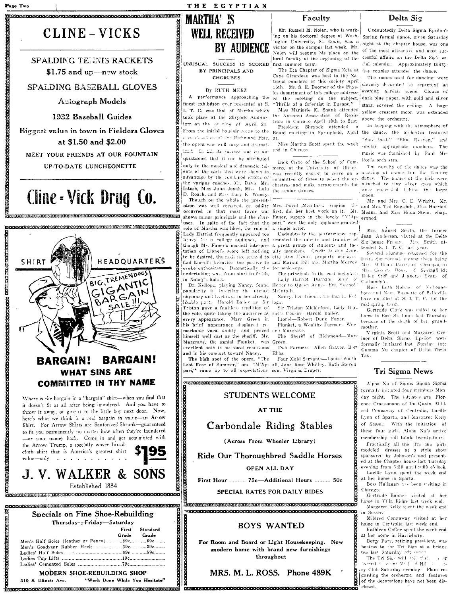### THE EGYPTIAN

# CLINE - VICKS

# **SPALDING TELEVIS RACKETS** \$1.75 and  $up$ —new stock

## SPALDING BASEBALL GLOVES

Autograph Models

1932 Baseball Guides

Biggest value in town in Fielders Gloves at \$1.50 and \$2.00

MEET YOUR FRIENDS AT OUR FOUNTAIN

UP-TO-DATE LUNCHEONETTE

# Cline - Vick Drug Co.



MODERN SHOE-REBUILDING SHOP

319 S. Illinois Ave.

"Work Done While You Hesitate"

# **MARTHA' IS WELL RECEIVED BY AUDIENCE**

UNUSUAL SUCCESS IS SCORED first summer term. BY PRINCIPALS AND **CHORUSES** 

### By RUTH MERZ

finest exhibition ever presented at S. I T. C. was that of Martha which took place at the Shryock Auditorium on the printing of April 21 From the initial boudoir seeme to the r conctruction of the Richmond Fair, 21 the opera was well sung and dramatinc.l. In all, its surress was so unquestioned that it can be attributed only to the musical and deamatic talents of the casts that were shown to advantage by the combined efforts of the various coaches, Mr. David Mr-Intosh, Miss Julia Jonah, Miss Lulu the senior dances. D. Roach, and Miss Lucy K. Woody Though on the whole the present-

occurred in that most favor was first did her host work on it. uses. In spite of the fact that the role of Martha was liked, the role of

Lady Harriet frequently appeared too heavy for a college audience, and though Mr. Faner's musical interpreto be desired, the null nee second to effe Ann Evans, property marined find Lionel's behavior too passive to evoke enthusiasm. Dramatically, the for make-ups. undertaking was, from start to finish, in Nancy's hands.

popularity in inserting the utmost MeIntosh piquancy and loceliness in her already likable part. Harold Bailey as Sir logg. Tristan gave a faultless rendition of the role, quite taking the audience at every appearance. Marc Green in his brief appearance displayed remarkable vocal ability and proved dell Margraye. himself well cast as the sheriff. Mr. Margrave, the genial Plunket, was Green. excellent both in his vocal renditions and in his conduct toward Nancy.

The high spot of the opera, "The Last Rose of Summer," and "M'Appari," came up to all expectations. son, Virginia Draper.

Faculty

Mr. Russell M. Nolen, who is working on his doctoral degree at Washing on the occurrence we have a series of the chapter house, was one visitor on the campus last week. Mr. Noien will resume his place on the local faculty at the beginning of the

Cape Girardeau was host to the National conclave of this society April 15th. Mr. S. E. Boomer of the Physics department of this college address-A performance approaching the ed the meeting on the subject, "Thrills of a Scientist in Europe."

Miss Marjorie M. Shank attended the National Association of Registrars in Chicago April 18th to 21st. President Shryock attended

.<br>Miss Martha Scott spent the week. end in Chicago.

Dick Cisne of the School of Commerce at the University of Illino? was recently chosen to serve on a committee of three to select the or-

ation was well received, an oddity Mrs. David McIntosh. singing the and Mrs. Ted Ragsdale, Miss Harriett  $M<sub>1</sub>$ shown minor principals and the char- Faner, superb in the lovely "M'Appari," won the only applause granted a single actor.

Undoubtedly the performance represented the talents and training of a great group of students and factation of Linnel's score left nothing ulty members. Credit is due Jeanand Marian Dill and Martha Merrow

The principals in the cast included: Lady Harriet Durham, Muid o' Dr. Kellogg, playing Nancy, found Honor to Queen Anne- Eva Hoanol-

Nancy, her friend-Thelma L. Keb

Sir Tristan Mickleford, Lady Huriet's Cousin-Harold Bailey.

Lionel-Robert Dunn Faner. Plunket, a Wealthy Farmer-Wen

The Sheriff of Richmond-Marc

Two Farmers-Allen Graves, Bort Ebbs.

Four Maid Servants-Louise South all, Jane Rose Whitley, Ruth Steven

**STUDENTS WELCOME** 

AT THE

Carbondale Riding Stables

(Across From Wheeler Library)

Ride Our Thoroughbred Saddle Horses

### **OPEN ALL DAY**

First Hour .......... 75c-Additional Hours .......... 50c

SPECIAL RATES FOR DAILY RIDES

AL<br>ENTROLISCO ROCALIZACIO DE L'EDERACIO ELECTROLOGICA DE L'ALICERCA DE L'ALICERA DE L'ALICERA DE L'ALICERA DE L'A 

## **BOYS WANTED**

For Room and Board or Light Housekeeping. New modern home with brand new furnishings throughout

MRS. M. L. ROSS. Phone 489K ...<br><u>Commensurale de l'Annibaction de l'Annibactique de l'Annibaction de l'Annibaction de l'Annibaction de l'Anniba</u> Delta Sig

Undoubtedly Delta Sigma Epsilon's Spring formal dance, given Saturday of the most attractive and most successful affairs on the Delta Sic's social calendar. Approximately thirty-The Eta Chapter of Sigma Zeta at five couples attended the dance.

The rooms used for dancing were cleverly decorated to represent an evening garden scene. Clouds of dark blue naper, with gold and silver stars, covered the ceiling. A huge vellow crescent moon was extended above the orchestra

In keeping with the atmosphere of Board meeting in Springfield, April the dance, the orchestra featured "Star Dust," "Blue Heiven," and similar appropriate numbers. The music was furnished by Paul Mc-Roy's orchestra

The novelty of the dance was the urawing of names for the feature dance. The mines of the girls were committee of three to select the or- select. The hiddes of the girls were<br>chestras and make arrangements for attached to this silver stars which moon.

Mr. and Mrs. C. E. Wright, Mr. Means, and Miss Hilda Stein, chaperoned.

Mrs. Hansel Smith, the former Jean Anderson, visited at the Delta Sig house Frinay. Mrs. Smith attended S. I. T. C. last vear.

Several alumnor naturned for the Delta Sig formal, among them being Mrs. William Davis, of Champaign: Mrs. Geobre Boos, of Springfeld; Helen Stiff and J-anette Evans of Carbondale

Mary Puth Molano, of Volganz, boro and Neva Barnette of Belleville have encolled at S. L. T. C. for the mid-spring term.

Gertrude Clark was called to her home in East St. Louis last Thursday because of the death of her grandmother.

Virginia Scott and Margaret Greiner of Delta Sigma Epsilon were formally initiated last Sunday into Gamma Nu chapter of Delta Theta Tau.

### Tri Sigma News

Alpha Nu of Sigma Sigma Sigma formally initiated four members Monday night. The initiates are Florence Croessmann of Du Quoin, Mildred Connaway of Centralia, Lucille Lynn of Sparta, and Margaret Kelly of Sesser With the initiation of these four girls, Alpha Nu's active membership roll totals twenty-four.

Practically all the Tri Sig girls modeled dresses at a style show sponsored by Johnson's and presented at the Chapter house last Tuesday evening from 6:30 until 9:00 o'clock. Lucille Lynn spent the week end

at her home in Sparta.

Bess Hallagan has been visiting in Chicago.

Gertrude Bonner visited at her home in Villa Ridge last week end. Margaret Kelly spent the week end Sesser.

Mildred Connaway visited at her home in Centralia last week end. Kathleen Coffee spent the week end

at her home in Harrisburg.

Betty Furr, retiring president, was<br>hostess to the Tri-Sigs at a bridge tea last Saturday oftennoon

The Tri Sig- will bobl thele  $\mathit{form} \vdash \bot$  as at  $\mathit{M} \vdash \bot$  Hill. ry Club Saturday evening. Plans re-

garding the orchestra and features of the decorations have not been disclosed.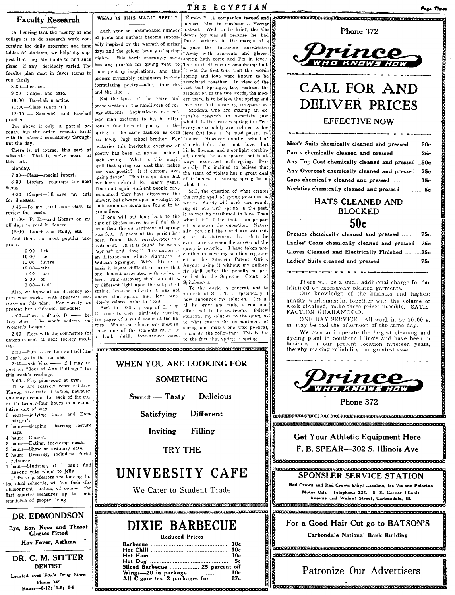## **Faculty Research**

On hearing that the faculty of one college is to do research work concerning the daily programs and time tables of students, we helpfully suggest that they are liable to find such plans-if any-decidedly varied. The faculty plan most in favor seems to run thusly:

 $8.80$  Jetuze

9:30-Chapel and cafe.

10:00-Baseball practice.

 $11:00$ -Class (darn it.)

12:00 - Sandwich and baseball practice.

The above is only a partial account, but the order repeats itself with the utmost consistency throughout the day.

There is, of course, this sort of<br>chedule. That is, we've heard of schedule. this sort:

Monday,

7:30-Class-special report.

8:30-Library-readings for next

wook 9:30-Chapel-I'll save my cuts for illnesses

9:45-To my third hour class to review the lesson.

11:00-P. E. $\leftarrow$  and library on my off days to read in Seneca.

12:00-Lunch and study, etc. And then, the most popular program:

> $9:00$ -Let  $10:00$ ---the 11:00-future  $12:00$  -take  $1:00 = \text{care}$  $2.00 - af$  $3:00$  itself.

Also, we know of an efficiency expert who works-with apparent success-on this plan. For variety we present her afternoon schedule:

 $1:00$ -Class and ask Dr.he. fore class if he won't address the Women's League.

2:00-Meet with the committee for entertainment at next society meeting

2:20-Run to see Bob and tell him I can't go to the matinee.

 $2:40$ -Ask Miss - if I may re port on "Soul of Ann Rutledge" for this week's readings.

3:00-Play ping-pong at gym. Those are scarcely representative Throug haccurate statistics, however one may account for each of the stu dent's twenty-four hours in a cumulative sort of way.

5 hours-jellying-Cafe and Entsminger's.

- 6 hours-sleeping- barring lecture naps.
- 4 hours-Classes.
- 3 hours-Eating, including meals.
- 3 hours-Show or ordinary date. 2 hours-Dressing, including facial
- retouches.
- 1 hour-Studying, if I can't find anyone with whom to jelly.

If these professors are looking for the ideal schedule, we fear their disillusionment-unless, of course, the first quarter measures up to their standards of proper living.

### DR. EDMONDSON

Eye, Ear, Nose and Throat<br>Glasses Fitted Hav Fever, Asthma

DR. C. M. SITTER **DENTIST** Located over Fox's Drug Store Phone 349 Hours-8-12; 1-5; 6-8

WHAT IS THIS MAGIC SPELL?

Each year an innumerable number of poets and authors become suppose dent's joy was all because he had edly inspired by the warmth of spring found written in the margin of a days and the golden beauty of spring a page, the tonoring successiones nights. This horde seemingly have spring hath come and I'm in love. but one process for giving vent to This in itself was an astounding find. heir pent-up inspirations, and this It was the first time that the words process invariably culminates in their spring and love were known to be formulating poetry—odes, limericks associated together. In view of the<br>formulating poetry—odes, limericks associated together. In view of the and the like Not the least of the verse and

prose written is the handiwork of col- love are fast becoming inseparables. 'ege students. Sophisticated as a college man pretends to be, he often spring in the same fashion as does lieve that love is the most potent in each suring. What is this magic.  $one$  wax poetic? Is it custom, love, spring fever? This is a question that has been debated for many years. Time and again eminent people have announced they have discovered the inswer, but always upon investigation their announcements are found to be rroundless.

If one will but look back to the time of Shakespeare, he will find that even then the enchantment of spring was felt. A poem of the period has been found that corroborates this statement. In it is found the words 'spring" and "love." The author is an Elizabethan whose signature is William Springer. With this as a basis it is not difficult to prove that one element associated with spring is love. This discovery sheds an entirely different light upon the subject of spring, because hitherto it was not known that spring and love were losely related prior to 1929.

Back in 1929 a group of S. I. T. students were aimlessly turning the pages of several books at the library. While the silence was most inense, one of the students called in a loud, shrill, toneloneless voice,

TO CHARGE CONTROL CONTROL CONTROL CONTROL CONTROL CONTROL CONTROL CONTROL CONTROL

WHEN YOU ARE LOOKING FOR

**SOMETHING** 

Sweet - Tasty - Delicious

Satisfying - Different

Inviting - Filling

**TRY THE** 

UNIVERSITY CAFE

We Cater to Student Trade

**ENERGE REFERENTIGE FRAGE FRAGE REFERENT FRAGE BEREICHERE FRAGE FRAGE FRAGE FRAGE FRAGE** 

DIXIE BARBECUE

Reduced Prices

Бc.

advised him to purchase a Hoover instead. Well, to be brief, the stua page, the following extraction: association of the two words, the modern trend is to believe that spring and

Students who are making an extensive research to ascertain just what it is that causes spring to affect lens a few lines of poetry in the what it is since contractions. is lowly high school brother. For fluence. However, another school of enturies this inevitable overflow of thought holds that not love, but goetry has been an annual incident hirds, flowers, and moonlight combinways associated with spring. Perseen spring. They are that makes somally, I'm inclined to believe that the scent of violets has a great deal of influence in causing spring to be what it is.

Still, the question of what creates the magic spell of spring goes unanswered. Surely with such rare coupl. ing of love with spring in the past cannot be attributed to love. Then what is it? I feel that I am prepared to answer the queestion. Natur ally, you and the world are astounded at this statement, but shall be even more so when the answer of the query is revealed. I have taken pre caution to have my solution registered in the Siberian Patent Office. Anyone using it without my authority shall suffer the penalty as prescribed by the Supreme Court of Spitzbergen.

To the world in general, and to students of S. I. T. C. specifically, I now announce my solution. Let us all be brave and make a conscious effort not to be overcome. Fellow students, my solution to the query as to what causes the enchantment of spring and makes one wax poetical, simply the following: This is due to the fact that spring is spring.

Phone 372 rinc

ACRESSER REGISTRATION CONTRACTORS CONTRACTOR

# CALL FOR AND **DELIVER PRICES**

**EFFECTIVE NOW** 

| Men's Suits chemically cleaned and pressed50c  |
|------------------------------------------------|
| Pants chemically cleaned and pressed 25c       |
| Any Top Coat chemically cleaned and pressed50c |
| Any Overcoat chemically cleaned and pressed75c |
| Caps chemically cleaned and pressed 15c        |
| Neckties chemically cleaned and pressed  5c    |

# **HATS CLEANED AND BLOCKED**  $50c$

There will be a small additional charge for fur trimmed or excessively pleated garments.

Our knowledge of the business and highest quality workmanship, together with the volume of<br>work obtained, make these prices possible. SATIS-FACTION GUARANTEED.

ONE DAY SERVICE-All work in by 10:00 a. m. may be had the afternoon of the same day.

We own and operate the largest cleaning and we been in Southern Illinois and have been in<br>business in our present location nineteen years, thereby making reliability our greatest asset.



Phone 372

**Get Your Athletic Equipment Here** F. B. SPEAR-302 S. Illinois Ave

## a di sebeluaran dan sebeluaran dan termulan dan dalam pertaman dan sebeluaran dan sebeluaran dan sebeluaran da SPONSLER SERVICE STATION Red Crown and Red Crown Ethyl Gasoline, Iso-Vis and Polarine

**.<br>In the first for the first formation of the first formation of the first formation of the first formation of t** 

Motor Oils. Telephone 224. S. E. Corner Illinois Avenue and Walnut Street. Carbondale. Ill. 

For a Good Hair Cut go to BATSON'S

Carbondale National Bank Building

<u> REALISHEKARIN KARARAN KARA KARARAN KARARAN KARARAN KARARAN </u> 

# Patronize Our Advertisers

.<br>Tanàna mandritry ny taona mandritry ny taona mandritry ny taona 2008–2014. Ilay kaominina dia kaominina mpikam

## ΤΗΕ ΕΩΥΡΤΙΑΝ "Eureka!" A companion turned and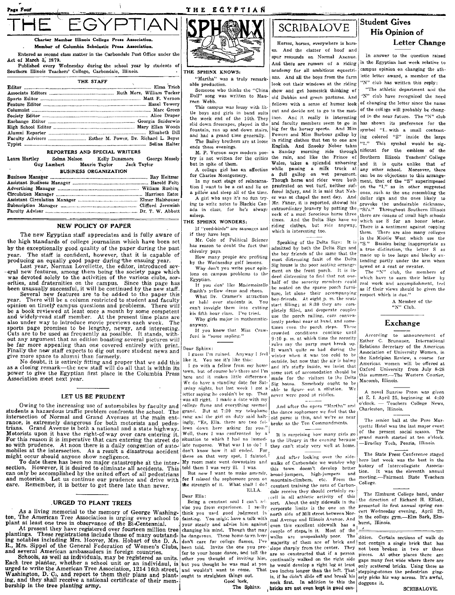PTIAN

### Charter Member Illinois College Press Association Member of Columbia Scholastic Press Association

Entered as second class matter in the Carbondale Post Office under the Act of March 3, 1879.

Page Four

Published every Wednesday during the school year by students of Southern Illinois Teachers' College, Carbondale, Illinois.

| THE STAFF |  |
|-----------|--|
|           |  |
|           |  |
|           |  |
|           |  |
|           |  |
|           |  |
|           |  |
|           |  |
|           |  |
|           |  |
|           |  |

### REPORTERS AND SPECIAL WRITERS

Selma Nelson Leora Hartley Kelly Dunsmore George Mosely Maurie Taylor Guy Lambert **Jack Taylor BUSINESS ORGANIZATION** 

### NEW POLICY OF PAPER

The new Egyptian staff appreciates and is fully aware of the high standards of college journalism which have been set by the exceptionally good quality of the paper during the past The staff is confident, however, that it is capable of vear. producing an equally good paper during the ensuing year.

Last year, Norman Lovellette, the editor, introduced sev eral new features, among them being the society page which was devoted solely to the activities of the various clubs, sororities, and fraternities on the campus. Since this page has<br>been unusually successful, it will be continued by the new staff.

Several new features are to be added to the naner this There will be a column restricted to student and faculty vear. opinion on timely campus questions and problems. There will be a book reviewed at least once a month by some competent and widely-read staff member. At the present time plans are also under way to introduce movie previews each week. The Cuts are to be used as frequently as possible. It stands, with-<br>out any argument that an edition boasting several pictures will be far more appealing than one covered entirely with print. Finally the new staff expects to dig out more student news and give more space to alumni than formerly.

No doubt, it is entirely fitting and proper that we add this as a closing remark-the new staff will do all that is within its power to give the Egyptian first place in the Columbia Press Association meet next year.

### LET US BE PRUDENT

Owing to the increasing use of automobiles by faculty and students a hazardous traffic problem confronts the school. The intersection of Normal and Grand Avenues at the main ent-<br>rance, is extremely dangerous for both motorists and pedes-Grand Avenue is both a national and a state highway. Motorists upon it have the right-of-way over cars entering it. For this reason it is imperative that cars entering the street do so with prudence. At noon there is a daily congestion of automobiles at the intersection. As a result a disastrous accident might occur should anyone show negligence.

To date there has been no major catastrophe at the inter-However, it is desired to eliminate all accidents. This section. can only be accomplished by the united effort of all pedestrians and motorists. Let us continue our prudence and drive with care. Remember, it is better to get there late than never.

### URGED TO PLANT TREES

As a living memorial to the memory of George Washington, The American Tree Association is urging every school to<br>plant at least one tree in observance of the Bi-Centennial.

At present they have registered over fourteen million tree plantings. These registrations include those of many outstanding notables including Mrs. Hoover, Mrs. Hobart of the D. A.<br>R., Mrs. Sippel of the General Federation of Women's Clubs, and several American ambassadors in foreign countries.

Schools, as well as individuals, may be registered as units. Each tree planter, whether a school unit or an individaul, is but you thought he was mad at you urged to write the American Tree Association, 1214 16th street, Washington, D. C., and report to them their plans and plant- ought to straighten things out. ing, and they shall receive a national certificate of their membership in the tree planting army.



THE ECYPTIAN

### THE SPHINX KNOWS:

"Martha" was a truly remarkable production.

Someone who thinks the "China Doll" song was written to Maureen Wehh

This campus was lousy with little boys and girls in band suits the week end of the 16th. They slid down firescapes, played in the fountain, ran up and down stairs, and had a grand time generally.

The Bailey brothers are at loose ends these evenings. M. P. Vernon says modern poe-

but in spite of them. A college girl has an affection

for Charles Montgomery.

In my next stage of reincarnation I want to be a cat and lie on

a pillow and sleep all of the time. A girl who says it's no fun trying to write notes to Blackie Canada in class, for he's always asleep.

### THE SPHINY WONDERS.

If "reed-birds" are sausages and if they have legs

Mr. Cole of Political Science has reason to doubt the fact that chivalry pays.

How many people are profiting by the Wednesday golf lessons. Why don't you write your opin

ions on campus problems to the Egyptian. If you don' like Mademoiselle

Smith's yellow dress and shoes. What Dr. Cramer's attraction or hold over students is. You can't inveigle them into cutting his fifth hour class. I've tried.

Why girls major in mathematics anyway.

If you know that Miss Crawford is "some sapling."

#### Dear Sphinx:

I guess I'm ruined. Anyway I feel like it. You see it's like this:

I go with a fellow from my home town, but of course he's there and I'm here and it makes little difference. We do have a standing date for Satirday nights, but last week I got a able to figure out a solution. letter saying he couldn't be up. That was all right. I made a date with my college flame and everything seemed grand. But at 7:30 my telephone rang and the girl on duty said haltingly, "Er, Ella. there are two feldown here asking for you.' Well, there I was confronted by  $a^{\frac{1}{2}}$ situation to which I had no immediate response. What was I to do? I don't know how it all ended. For there on that very spot, I fainted. My room mate went downstairs and told them I was very ill. I was.

But now I want to make amends, for I missed the sophomore prom on the strength of it. What shall I do? ELLA.

Dear Ella:

Being a constant soul I can't advise you from experience.  $I$  reslly think you used good judgment in fainting. You might have a talk with your steady and advise him against changing his mind. Though that may be dangerous. These home-town bays don't care for college flames, I've been told. Invite the one you prefer to your house dance, and tell the other you thought of inviting him, and wouldn't want to come. That Good luck.

The Sphinx.

# **SCRIBALOVE**

Horses, horses, everywhere is horses. And the clatter of hoof and spur resounds on Normal Axenue. And there are rumors of a riding academy for all ambitious equestriand And all the hous from the farm look out their windows at the riding show and get homesick thinking of old Dobbin and green pastures. And fellows with a sense of humor look out and decide not to go to the matinee. And it really is interesting and faculty members seem to go in big for the horsey sports. And Miss Powers and Miss Barbour gallop by in riding clothes that ten to one are English, And Snooky Neber takes Sunday morning ride through  $\mathbf{a}$ try is not written for the critics the rain, and like the Prince of Wales, takes a splendid unhorsing while passing a milk truck at a full gallop on wet pavement. Though horse and rider were both prostrated on wet turf, neither suffered injury, and it is said that Neber was at chapel the next day. And Mr. Faner, it is reported, showed his neck of a most ferocious horse three times. And the Delta Sigs have no<br>riding clothes, but ride anyway, which is interesting too.

> Speaking of the Delta Sigs: It is admitted by both the Delta Sigs and the boy friends of the same that the most distressing fault of the Delta Sig house is the poor seating arrangement on the front porch. It is indeed distressing to find that not one half of the sorority members could be seated on the sparse porch furniture, let alone their accompanying boy-friends. At eight p. m. the seats start filling; at 8:30 they are comnletely filled, and desperate couples use the porch railing, cars conven iently parked near at hand, and sometimes even the porch steps. These crowded conditions continue until  $9:10$  p.m. at which time the sorority rules say the narty must break up. It wasn't quite so bad during the winter when it was too cold to be outside, but now that the air is balmy and it's stuffy inside, we insist that some sort of accomodation should be made for the visitors to the Delta Sig house. Somebody ought to be never were good at riddles.

> And after the opera "Martha" and the dance sophomore we find that the old purse is thin, and we're as near broke as the Ten Commandments.

> It is surprising how many girls go to the library in the evening because they can't study very well at home.

And after looking over the sidewalks of Carbondale we wonder why this town doesn't develop better broad-jumpers, high-jumpers and mountain-climbers, etc. From the constant training the sons of Carbondale receive they should certainly ex cell in all athletic activity of this sort. About the only sidewalk in the corporate limits is the one on the north side of Mill street between Normal Avenue and Illinois Avenue. And even this excellent sidewalk has couple of steps, in it. Most of the are so constructed that if a person pieces. continually walked on the right side he would develop a right leg at least neck first. In addition to this the

, bricks are not even kept in good con-

## **Student Gives** His Opinion of Letter Change

In answer to the question raised in the Egyptian last week relative to campus opinion on changing the ethletic letter award, a member of the "N" club has written this reply:

"The athletic department and the 'N" club have recognized the need of changing the letter since the name of the collage will probably be changed in the near future. The "N" club has shown its preference for the symbol "I. with a small contrasting colored "S" inside the large  $"1."$ This symbol would be significant for the emblem of the Southern Illinois Teachers' College and it is quite unlike that of any other school. Moreover, there can be no objections to this arrangement, that of the "S" superimposed on the "I," as in other suggested ones, such as the one resembling the dollar sign and the ones likely to Mr. Faner, it is reported, showed his provoke the undesirable nickname, extraordinary bravery by patting the  $\mu$ si's." Throughout Southern Illinois there are dozens of small high schools which use S for an honor letter. There is a sentiment against copying them. There are also many colleges in the Middle West which use the "S." Besides being inappropriate as a true distinction, the letter S as made up is too large and blocky extending partly under the arm when sewed on a coat or sweater.

The "N" club, the members of which have to earn their letter by real work and accomplishment, teel as if their views should be given the respect which is due"

> A Member of the "N" Club.

### Exchange

According to announcement of Esther C. Brunauer, International Relations Secretary of the American Association of University Women, in the Kadelpian Review, a course for<br>American women will be offered at Oxford University from July 8-28 this summer.-The Western Courier, Macomb, Illinois.

A novel Sunrise Prom was given at E. I. April 25, beginning at 4:00 o'clock. - Teachers College News. Charleston, Illinois.

The senior ball at the Pere Marquette Hotel was the last major event of the present social season. The grand march started at ten o'clock. -Bradley Tech, Peoria, Illinois.

The State Press Conference staged here last week was the best in the history of Intercollegiate Association. It was the eleventh annual meeting.---Fairmont State Teachers College.

The Elmhurst College band, under the direction of Richard H. Elliott, presented its first annual spring concert Wednesday evening, April 29, in the college gym.-Elm Bark, Elmhurst, Illinois.

walks are unspeakably poor. The dition. Certain sections of walk do majority of them are of brick and not contain a single brick that has slope sharply from the center. They not been broken in two or three At other places there are gaps many feet wide where there are only scattered bricks. Using these as two inches longer than the left. That stepping-stones the pedestrian gingis, if he didn't slide off and break his erly picks his way across. It's awful, doggone it.

 $\rightarrow$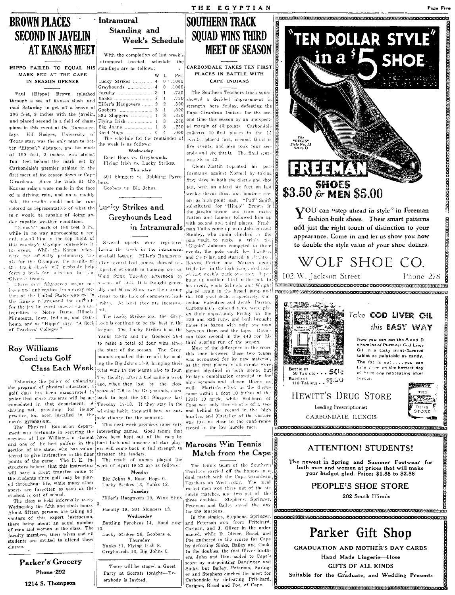# **BROWN PLACES SECOND IN JAVELIN AT KANSAS MEET**

**HIPPO** FAILED TO EQUAL HIS standings are as follows: MARK SET AT THE CAPE IN SEASON OPENER

Paul (Hippo) Brown splashed through a sea of Kansas slush and mud Saturday to get off a heave of 186 feet. 3 inches with the javelin. and placed second in a field of champions in this event at the Kansas relays. Hill Hodges, University of Texas star, was the only man to better "Hippo's" distance, and his mark of 190 feet, 2 inches, was almost four feet behind the mark set by Carbondale's premier athlete in the first meet of the season down in Cape Girardeau. Since the trials at the beas Kansas relays were made in the face of a driving rain, and on a muddy field, the results could not be considered as representative of what the mon would be capable of doing un-

der capable weather conditions.<br>"hinoo's" mark of 186 feet 3 in. while in no way approaching a record, places him in the top flight of this country's Olympic contenders in While the Kansas relayhis event. wite pot officially preliminary trials for the Olympics, the results of after several had games, showed until track classic will probably help! such a dimension in houring on an form a buis for selection for the Oh male teams.

There were fifty-seven major colloges and universities from every section of the United States entered in the Kansas relays, and the entrantfor the jay-lin event showed such universities as Notre Dame, Illinois Minnesota, Iowa, Indiana, and Okla-



Following the policy of enlarging the program of physical education, a golf class has been inaugurated in order that more students will be ac- back to beat the 504 Sluggers last comodated in that department. A Tuesday 19-13. If they stay in the practice, has been installed in the side chance for the pennant. men's gymnasium.

The Physical Education department was fortunate in securing the interesting games. Good teams that services of Loy Williams, a student have been kept out of the race by and one of he best golfers in this hard luck and absence of star playsection of the state, who has volunteered to give instruction in the finer points of the game. The P. E. instructors believe that this instruction will have a great transfer value to the students since golf may be played throughout life, while many other sports are forgotten as soon as the student is out of school.

The class is held informally every Wednesday the fifth and sixth hours. About fifteen persons are taking advantage of this expert instruction, there being about an equal number of men and women in the class. The faculty members, their wives and all students are invited to attend these classes.

> Parker's Grocery Phone 292 1214 S. Thompson

Intramural Standing and Week's Schedule

With the completion of last week's intramural baseball schedule the

|                                   | w | L              | Pet.   |                         |
|-----------------------------------|---|----------------|--------|-------------------------|
| Lucky Strikes  4                  |   |                | 0.1000 |                         |
|                                   |   | $\mathbf{0}$   | .1000  |                         |
|                                   |   | $\mathbf{1}$   | .750!  |                         |
|                                   |   | $\mathbb{1}$   | .750   | $\mathbf{s}$            |
| Hiller's Hangovers  2             |   | $\overline{2}$ | .500   | s                       |
|                                   |   | $\mathbf{1}$   | .500   | $\overline{\mathbf{C}}$ |
| 504 Sluggers  1                   |   | 3              | .250   |                         |
| Flying Irish  1                   |   | $3 -$          | .250   | c                       |
|                                   |   | $3 -$          | .250   | €                       |
|                                   |   |                | .000.  | $\epsilon$              |
| The schedule for the remainder of |   |                |        | J.                      |
| the week is as follows:           |   |                |        | f                       |
|                                   |   |                |        |                         |

Wednesday Road Hogs vs. Greyhounds. Flying Irish vs. Lucky Strikes. Thursday

504 Sluggers vs. Babbling Pyrro-

Goobers vs. Big Johns.

# Lucky Strikes and Greyhounds Lead

Soveral upsets were registered pole valit, to make a triple tie. during the week in the intramural asoball loague. Hiller's Hangovers. Winx Stinx Tuesday afternoon by a score of 19-3. It is thought generally that Winx Stinx owe their losing streak to the lack of competent leadrship. At least they are inconsist-

The Lucky Strikes and the Greyhoma, and as "Hippo" says, "A flock, counds continue to be the best in the of Teachers' Colleges." Yanks 13-12 and the Goobers 26-4 to make a total of four wins since the start of the season. The Greyhounds equalled this record by beating the Big Johns 13-0, bringing their Class Each Week total wins in the league also to four. The faculty, after a bad game a week ago, when they lost by the close score of 7-6 to the Greyhounds, came driving net, providing for indoor winning habit, they still have an out-

This next week promises some very ers will come back in full strength to threaten the leaders.

The result of games played the week of April 18-22 are as follows:

Monday

Big Johns 9, Road Hogs 0. Lucky Strikes 13, Yanks 12. Tuesday

Hiller's Hangovers 19, Winx Stinx

Faculty 19, 504 Sluggers 13. Wednesdav

Battling Pyroheas 14, Road Hog-

Lucky Strikes 26, Goobers 4. Thursdav

Yanks 31, Flying Irish 8. Greyhounds 13, Big Johns 0.

There will be staged a Guest

Party at Socrats tonight-Ev-

erybody is Invited.

**SOITHERN TRACK SOUAD WINS THIRD MEET OF SEASON** 

THE EGYPTIAN

CARBONDALE TAKES TEN FIRST PLACES IN BATTLE WITH CAPE INDIANS

The Southern Teachers track squad showed a decided improvement in trength here Friday, defeating the Cape Girardeau Indians for the secand time this season hy an unexpected margin of 45 points. Carbondale collected 10 first places in the 15 vents; placed first, second, third in five events, and also took four seconds and six thirds. The final score was 88 to 43.

Clean Martin repeated his performance against Normal by taking first place in both the discus and shot rait, with an added six feet on last wook's discus fline, and another rocord as high point man. "Pud" Smith substituted for "Hippo" Brown in the javelin throw and train mates<br>Patton and Lauder followed him up with second and third places. Freshin Intramurals man Tullis came up with Johnson and Stanley, who again clinched . a the

.<br>"Gigolo" Johnson competed in three events, the pole vault, low hurdus and the relay, and starred in all three Reeves, Porter and Watson again xpected strength in hanging one on triple tied in the high jump, and raised hat week's mark one inch. Pipe, hung up another third in the mile to his credit, while Schrade and Wright placed again in the broad jump and the 100 yard dash, respectively. Columbus Valentine and Jerald Parran. Carbondale's colored aces, were given their opportunity Friday in the 220 and 880 runs, and both brought home the bacon with only one man between them and the tape. Davidson took second in the 440 for his third scoring run of the season.

> Most of the difference in the score this time between these two teams was accounted for by new material, as the first places in all events were almost identical in both meets, but Friday's combination crowded in for nine seconds and eleven thirds as well. Martin's effort in the discus came within 1 foot 10 inches of the Little 19 mark, while Hubbard of Cape was only three-tenths of a second behind the record in the high hurdles, and Masteller of the visitors was just as close to the conference<br>record in the low hurdle race.

## Maroons Win Tennis Match from the Cape

The tennis team of the Southern Teachers carried off the honors in a dual match with the Cape Girardeau Teachers on Wednesday. The local racket men won three out of the six single matches, and two out of the three doubles. Stephens, Springer. Peterson and Bailey saved the day for the Maroons.

In the singles, Stephens, Springer, and Peterson won from Pritchard. Corigan, and J. Oliver in the order<br>named, while D. Oliver, Bissel, and Poe gathered in the scores for Cape by defeating Sinks, Bailey and Cook. In the doubles, the fast Oliver brothers, John and Don, added to Cape's score by out-pointing Baysinger and Sinks, but Bailey, Peterson, Springer and Stephens cinched the meet for Carbondale by defeating Pritchard,<br>Corigan, Bissel and Poe, of Cape.



**GIFTS OF ALL KINDS** 

Suitable for the Graduate, and Wedding Presents